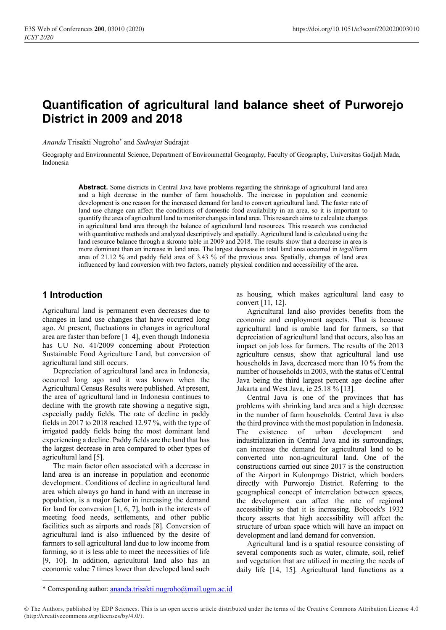# **Quantification of agricultural land balance sheet of Purworejo District in 2009 and 2018**

*Ananda* Trisakti Nugroho\* and *Sudrajat* Sudrajat

Geography and Environmental Science, Department of Environmental Geography, Faculty of Geography, Universitas Gadjah Mada, Indonesia

> **Abstract.** Some districts in Central Java have problems regarding the shrinkage of agricultural land area and a high decrease in the number of farm households. The increase in population and economic development is one reason for the increased demand for land to convert agricultural land. The faster rate of land use change can affect the conditions of domestic food availability in an area, so it is important to quantify the area of agricultural land to monitor changesin land area. This research aimsto calculate changes in agricultural land area through the balance of agricultural land resources. This research was conducted with quantitative methods and analyzed descriptively and spatially. Agricultural land is calculated using the land resource balance through a skronto table in 2009 and 2018. The results show that a decrease in area is more dominant than an increase in land area. The largest decrease in total land area occurred in *tegal*/farm area of 21.12 % and paddy field area of 3.43 % of the previous area. Spatially, changes of land area influenced by land conversion with two factors, namely physical condition and accessibility of the area.

## **1 Introduction**

Agricultural land is permanent even decreases due to changes in land use changes that have occurred long ago. At present, fluctuations in changes in agricultural area are faster than before [1–4], even though Indonesia has UU No. 41/2009 concerning about Protection Sustainable Food Agriculture Land, but conversion of agricultural land still occurs.

Depreciation of agricultural land area in Indonesia, occurred long ago and it was known when the Agricultural Census Results were published. At present, the area of agricultural land in Indonesia continues to decline with the growth rate showing a negative sign, especially paddy fields. The rate of decline in paddy fields in 2017 to 2018 reached 12.97 %, with the type of irrigated paddy fields being the most dominant land experiencing a decline. Paddy fields are the land that has the largest decrease in area compared to other types of agricultural land [5].

The main factor often associated with a decrease in land area is an increase in population and economic development. Conditions of decline in agricultural land area which always go hand in hand with an increase in population, is a major factor in increasing the demand for land for conversion [1, 6, 7], both in the interests of meeting food needs, settlements, and other public facilities such as airports and roads [8]. Conversion of agricultural land is also influenced by the desire of farmers to sell agricultural land due to low income from farming, so it is less able to meet the necessities of life [9, 10]. In addition, agricultural land also has an economic value 7 times lower than developed land such

as housing, which makes agricultural land easy to convert [11, 12].

Agricultural land also provides benefits from the economic and employment aspects. That is because agricultural land is arable land for farmers, so that depreciation of agricultural land that occurs, also has an impact on job loss for farmers. The results of the 2013 agriculture census, show that agricultural land use households in Java, decreased more than 10 % from the number of households in 2003, with the status of Central Java being the third largest percent age decline after Jakarta and West Java, ie 25.18 % [13].

Central Java is one of the provinces that has problems with shrinking land area and a high decrease in the number of farm households. Central Java is also the third province with the most population in Indonesia. The existence of urban development and industrialization in Central Java and its surroundings, can increase the demand for agricultural land to be converted into non-agricultural land. One of the constructions carried out since 2017 is the construction of the Airport in Kulonprogo District, which borders directly with Purworejo District. Referring to the geographical concept of interrelation between spaces, the development can affect the rate of regional accessibility so that it is increasing. Bobcock's 1932 theory asserts that high accessibility will affect the structure of urban space which will have an impact on development and land demand for conversion.

Agricultural land is a spatial resource consisting of several components such as water, climate, soil, relief and vegetation that are utilized in meeting the needs of daily life [14, 15]. Agricultural land functions as a

<sup>\*</sup> Corresponding author: [ananda.trisakti.nugroho@mail.ugm.ac.id](mailto:ananda.trisakti.nugroho@mail.ugm.ac.id)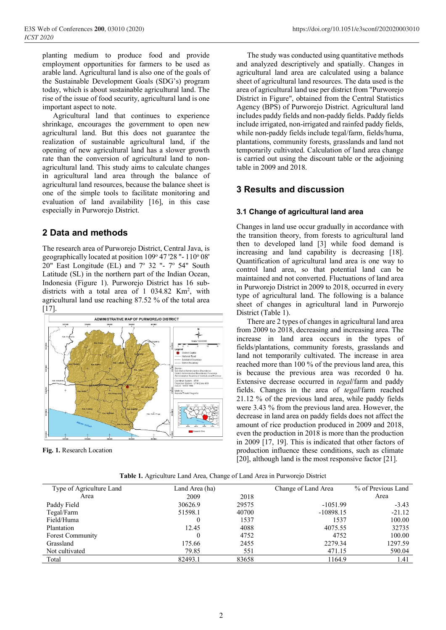planting medium to produce food and provide employment opportunities for farmers to be used as arable land. Agricultural land is also one of the goals of the Sustainable Development Goals (SDG's) program today, which is about sustainable agricultural land. The rise of the issue of food security, agricultural land is one important aspect to note.

Agricultural land that continues to experience shrinkage, encourages the government to open new agricultural land. But this does not guarantee the realization of sustainable agricultural land, if the opening of new agricultural land has a slower growth rate than the conversion of agricultural land to nonagricultural land. This study aims to calculate changes in agricultural land area through the balance of agricultural land resources, because the balance sheet is one of the simple tools to facilitate monitoring and evaluation of land availability [16], in this case especially in Purworejo District.

# **2 Data and methods**

The research area of Purworejo District, Central Java, is geographically located at position 109° 47'28"-110° 08' 20" East Longitude (EL) and  $7^{\circ}$  32 "-  $7^{\circ}$  54" South Latitude (SL) in the northern part of the Indian Ocean, Indonesia (Figure 1). Purworejo District has 16 subdistricts with a total area of  $1$  034.82 Km<sup>2</sup>, with agricultural land use reaching 87.52 % of the total area  $[17]$ .



**Fig. 1.** Research Location

The study was conducted using quantitative methods and analyzed descriptively and spatially. Changes in agricultural land area are calculated using a balance sheet of agricultural land resources. The data used is the area of agricultural land use per district from "Purworejo District in Figure", obtained from the Central Statistics Agency (BPS) of Purworejo District. Agricultural land includes paddy fields and non-paddy fields. Paddy fields include irrigated, non-irrigated and rainfed paddy fields, while non-paddy fields include tegal/farm, fields/huma, plantations, community forests, grasslands and land not temporarily cultivated. Calculation of land area change is carried out using the discount table or the adjoining table in 2009 and 2018.

# **3 Results and discussion**

## **3.1 Change of agricultural land area**

Changes in land use occur gradually in accordance with the transition theory, from forests to agricultural land then to developed land [3] while food demand is increasing and land capability is decreasing [18]. Quantification of agricultural land area is one way to control land area, so that potential land can be maintained and not converted. Fluctuations of land area in Purworejo District in 2009 to 2018, occurred in every type of agricultural land. The following is a balance sheet of changes in agricultural land in Purworejo District (Table 1).

There are 2 types of changes in agricultural land area from 2009 to 2018, decreasing and increasing area. The increase in land area occurs in the types of fields/plantations, community forests, grasslands and land not temporarily cultivated. The increase in area reached more than 100 % of the previous land area, this is because the previous area was recorded 0 ha. Extensive decrease occurred in *tegal*/farm and paddy fields. Changes in the area of *tegal*/farm reached 21.12 % of the previous land area, while paddy fields were 3.43 % from the previous land area. However, the decrease in land area on paddy fields does not affect the amount of rice production produced in 2009 and 2018, even the production in 2018 is more than the production in 2009 [17, 19]. This is indicated that other factors of production influence these conditions, such as climate [20], although land is the most responsive factor [21].

| Table 1. Agriculture Land Area, Change of Land Area in Purworejo District |  |  |
|---------------------------------------------------------------------------|--|--|
|---------------------------------------------------------------------------|--|--|

| Type of Agriculture Land | Land Area (ha) |       | Change of Land Area | % of Previous Land |
|--------------------------|----------------|-------|---------------------|--------------------|
| Area                     | 2009           | 2018  |                     | Area               |
| Paddy Field              | 30626.9        | 29575 | $-1051.99$          | $-3.43$            |
| Tegal/Farm               | 51598.1        | 40700 | $-10898.15$         | $-21.12$           |
| Field/Huma               |                | 1537  | 1537                | 100.00             |
| Plantation               | 12.45          | 4088  | 4075.55             | 32735              |
| Forest Community         |                | 4752  | 4752                | 100.00             |
| Grassland                | 175.66         | 2455  | 2279.34             | 1297.59            |
| Not cultivated           | 79.85          | 551   | 471.15              | 590.04             |
| Total                    | 82493.1        | 83658 | 1164.9              | 1.41               |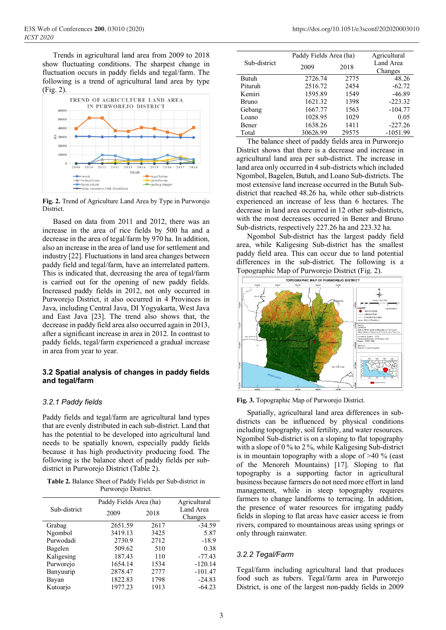Trends in agricultural land area from 2009 to 2018 show fluctuating conditions. The sharpest change in fluctuation occurs in paddy fields and tegal/farm. The following is a trend of agricultural land area by type (Fig. 2).



**Fig. 2.** Trend of Agriculture Land Area by Type in Purworejo District.

Based on data from 2011 and 2012, there was an increase in the area of rice fields by 500 ha and a decrease in the area of tegal/farm by 970 ha. In addition, also an increase in the area of land use forsettlement and industry [22]. Fluctuations in land area changes between paddy field and tegal/farm, have an interrelated pattern. This is indicated that, decreasing the area of tegal/farm is carried out for the opening of new paddy fields. Increased paddy fields in 2012, not only occurred in Purworejo District, it also occurred in 4 Provinces in Java, including Central Java, DI Yogyakarta, West Java and East Java [23]. The trend also shows that, the decrease in paddy field area also occurred again in 2013, after a significant increase in area in 2012. In contrast to paddy fields, tegal/farm experienced a gradual increase in area from year to year.

#### **3.2 Spatial analysis of changes in paddy fields and tegal/farm**

## *3.2.1 Paddy fields*

Paddy fields and tegal/farm are agricultural land types that are evenly distributed in each sub-district. Land that has the potential to be developed into agricultural land needs to be spatially known, especially paddy fields because it has high productivity producing food. The following is the balance sheet of paddy fields per subdistrict in Purworejo District (Table 2).

**Table 2.** Balance Sheet of Paddy Fields per Sub-district in Purworejo District.

|              |         | Paddy Fields Area (ha) |           |
|--------------|---------|------------------------|-----------|
| Sub-district | 2009    | 2018                   | Land Area |
|              |         |                        | Changes   |
| Grabag       | 2651.59 | 2617                   | $-34.59$  |
| Ngombol      | 3419.13 | 3425                   | 5.87      |
| Purwodadi    | 2730.9  | 2712                   | $-18.9$   |
| Bagelen      | 509.62  | 510                    | 0.38      |
| Kaligesing   | 187.43  | 110                    | $-77.43$  |
| Purworejo    | 1654.14 | 1534                   | $-120.14$ |
| Banyuurip    | 2878.47 | 2777                   | $-101.47$ |
| Bayan        | 1822.83 | 1798                   | $-24.83$  |
| Kutoario     | 1977.23 | 1913                   | $-64.23$  |

|              |          | Paddy Fields Area (ha) |            |
|--------------|----------|------------------------|------------|
| Sub-district | 2009     | 2018                   | Land Area  |
|              |          |                        | Changes    |
| Butuh        | 2726.74  | 2775                   | 48.26      |
| Pituruh      | 2516.72  | 2454                   | $-62.72$   |
| Kemiri       | 1595.89  | 1549                   | $-46.89$   |
| <b>Bruno</b> | 1621.32  | 1398                   | $-223.32$  |
| Gebang       | 1667.77  | 1563                   | $-104.77$  |
| Loano        | 1028.95  | 1029                   | 0.05       |
| Bener        | 1638.26  | 1411                   | $-227.26$  |
| Total        | 30626.99 | 29575                  | $-1051.99$ |
|              |          |                        |            |

The balance sheet of paddy fields area in Purworejo District shows that there is a decrease and increase in agricultural land area per sub-district. The increase in land area only occurred in 4 sub-districts which included Ngombol, Bagelen, Butuh, and Loano Sub-districts. The most extensive land increase occurred in the Butuh Subdistrict that reached 48.26 ha, while other sub-districts experienced an increase of less than 6 hectares. The decrease in land area occurred in 12 other sub-districts, with the most decreases occurred in Bener and Bruno Sub-districts, respectively 227.26 ha and 223.32 ha.

Ngombol Sub-district has the largest paddy field area, while Kaligesing Sub-district has the smallest paddy field area. This can occur due to land potential differences in the sub-district. The following is a Topographic Map of Purworejo District (Fig. 2).



**Fig. 3.** Topographic Map of Purworejo District.

Spatially, agricultural land area differences in subdistricts can be influenced by physical conditions including topography, soil fertility, and water resources. Ngombol Sub-district is on a sloping to flat topography with a slope of 0 % to 2 %, while Kaligesing Sub-district is in mountain topography with a slope of >40 % (east of the Menoreh Mountains) [17]. Sloping to flat topography is a supporting factor in agricultural business because farmers do not need more effort in land management, while in steep topography requires farmers to change landforms to terracing. In addition, the presence of water resources for irrigating paddy fields in sloping to flat areas have easier access ie from rivers, compared to mountainous areas using springs or only through rainwater.

#### *3.2.2 Tegal/Farm*

Tegal/farm including agricultural land that produces food such as tubers. Tegal/farm area in Purworejo District, is one of the largest non-paddy fields in 2009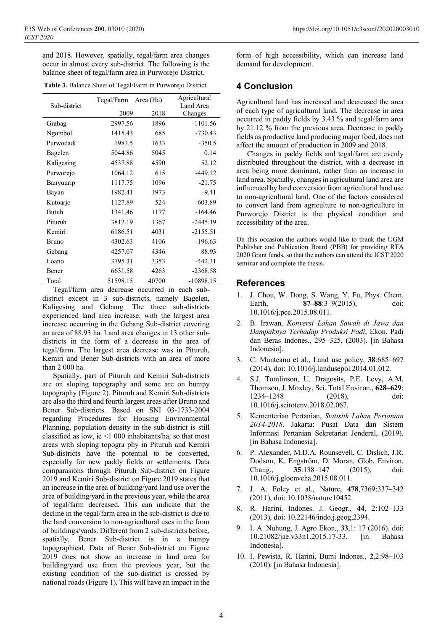and 2018. However, spatially, tegal/farm area changes occur in almost every sub-district. The following is the balance sheet of tegal/farm area in Purworejo District.

| Table 3. Balance Sheet of Tegal/Farm in Purworejo District. |  |  |
|-------------------------------------------------------------|--|--|
|-------------------------------------------------------------|--|--|

| Sub-district | Tegal/Farm | Area (Ha) | Agricultural<br>Land Area |
|--------------|------------|-----------|---------------------------|
|              | 2009       | 2018      | Changes                   |
| Grabag       | 2997.56    | 1896      | $-1101.56$                |
| Ngombol      | 1415.43    | 685       | $-730.43$                 |
| Purwodadi    | 1983.5     | 1633      | $-350.5$                  |
| Bagelen      | 5044.86    | 5045      | 0.14                      |
| Kaligesing   | 4537.88    | 4590      | 52.12                     |
| Purworejo    | 1064.12    | 615       | $-449.12$                 |
| Banyuurip    | 1117.75    | 1096      | $-21.75$                  |
| Bayan        | 1982.41    | 1973      | $-9.41$                   |
| Kutoarjo     | 1127.89    | 524       | $-603.89$                 |
| <b>Butuh</b> | 1341.46    | 1177      | $-164.46$                 |
| Pituruh      | 3812.19    | 1367      | $-2445.19$                |
| Kemiri       | 6186.51    | 4031      | $-2155.51$                |
| <b>Bruno</b> | 4302.63    | 4106      | $-196.63$                 |
| Gebang       | 4257.07    | 4346      | 88.93                     |
| Loano        | 3795.31    | 3353      | $-442.31$                 |
| Bener        | 6631.58    | 4263      | $-2368.58$                |
| Total        | 51598.15   | 40700     | $-10898.15$               |

Tegal/farm area decrease occurred in each subdistrict except in 3 sub-districts, namely Bagelen, Kaligesing and Gebang. The three sub-districts experienced land area increase, with the largest area increase occurring in the Gebang Sub-district covering an area of 88.93 ha. Land area changes in 13 other subdistricts in the form of a decrease in the area of tegal/farm. The largest area decrease was in Pituruh, Kemiri and Bener Sub-districts with an area of more than 2 000 ha.

Spatially, part of Pituruh and Kemiri Sub-districts are on sloping topography and some are on bumpy topography (Figure 2). Pituruh and Kemiri Sub-districts are also the third and fourth largest areas after Bruno and Bener Sub-districts. Based on SNI 03-1733-2004 regarding Procedures for Housing Environmental Planning, population density in the sub-district is still classified as low, ie <1 000 inhabitants/ha, so that most areas with sloping topogra phy in Pituruh and Kemiri Sub-districts have the potential to be converted, especially for new paddy fields or settlements. Data comparasions through Pituruh Sub-district on Figure 2019 and Kemiri Sub-district on Figure 2019 states that an increase in the area of building/yard land use over the area of building/yard in the previous year, while the area of tegal/farm decreased. This can indicate that the decline in the tegal/farm area in the sub-district is due to the land conversion to non-agricultural uses in the form of buildings/yards. Different from 2 sub-districts before, spatially, Bener Sub-district is in a bumpy topographical. Data of Bener Sub-district on Figure 2019 does not show an increase in land area for building/yard use from the previous year, but the existing condition of the sub-district is crossed by national roads(Figure 1). This will have an impact in the

form of high accessibility, which can increase land demand for development.

# **4 Conclusion**

Agricultural land has increased and decreased the area of each type of agricultural land. The decrease in area occurred in paddy fields by 3.43 % and tegal/farm area by 21.12 % from the previous area. Decrease in paddy fields as productive land producing major food, does not affect the amount of production in 2009 and 2018.

Changes in paddy fields and tegal/farm are evenly distributed throughout the district, with a decrease in area being more dominant, rather than an increase in land area. Spatially, changes in agricultural land area are influenced by land conversion from agricultural land use to non-agricultural land. One of the factors considered to convert land from agriculture to non-agriculture in Purworejo District is the physical condition and accessibility of the area.

On this occasion the authors would like to thank the UGM Publisher and Publication Board (PBB) for providing RTA 2020 Grant funds, so that the authors can attend the ICST 2020 seminar and complete the thesis.

## **References**

- 1. J. Chou, W. Dong, S. Wang, Y. Fu, Phys. Chem. Earth, **87–88**:3–9(2015), doi: 10.1016/j.pce.2015.08.011.
- 2. B. Irawan, *Konversi Lahan Sawah di Jawa dan Dampaknya Terhadap Produksi Padi*, Ekon. Padi dan Beras Indones., 295–325, (2003). [in Bahasa Indonesia].
- 3. C. Munteanu et al., Land use policy, **38**:685–697 (2014), doi: 10.1016/j.landusepol.2014.01.012.
- 4. S.J. Tomlinson, U. Dragosits, P.E. Levy, A.M. Thomson, J. Moxley, Sci. Total Environ., **628–629**: 1234–1248 (2018), doi: 10.1016/j.scitotenv.2018.02.067.
- 5. Kementerian Pertanian, *Statistik Lahan Pertanian 2014-2018*. Jakarta: Pusat Data dan Sistem Informasi Pertanian Sekretariat Jenderal, (2019). [in Bahasa Indonesia].
- 6. P. Alexander, M.D.A. Rounsevell, C. Dislich, J.R. Dodson, K. Engström, D. Moran, Glob. Environ. Chang., **35**:138–147 (2015), doi: 10.1016/j.gloenvcha.2015.08.011.
- 7. J. A. Foley et al., Nature, **478**,7369:337–342 (2011), doi: 10.1038/nature10452.
- 8. R. Harini, Indones. J. Geogr., **44**, 2:102–133 (2013), doi: 10.22146/indo.j.geog,2394.
- 9. I. A. Nuhung, J. Agro Ekon., **33**,1: 17 (2016), doi: 10.21082/jae.v33n1.2015.17-33. [in Bahasa Indonesia].
- 10. I. Pewista, R. Harini, Bumi Indones., **2**,2:98–103 (2010). [in Bahasa Indonesia].